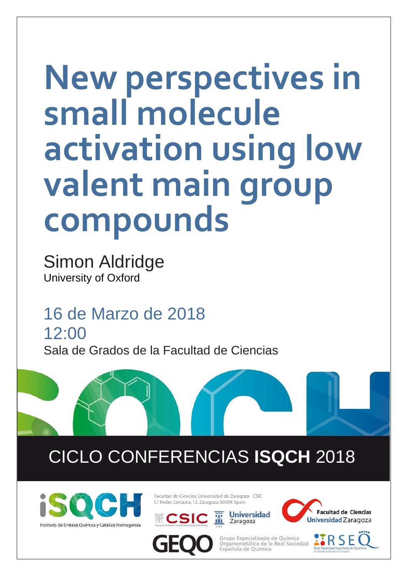## **New perspectives in small molecule activation using low valent main group compounds**

Simon Aldridge University of Oxford

16 de Marzo de 2018 12:00 Sala de Grados de la Facultad de Ciencias

## CICLO CONFERENCIAS **ISQCH** 2018



Facultad de Ciencias, Universidad de Zaragoza - CSIC C/ Pedro Cerbuna, 12, Zaragoza 50009, Spain









Grupo Especializado de Ouímica Organometálica de la Real Sociedad Española de Química